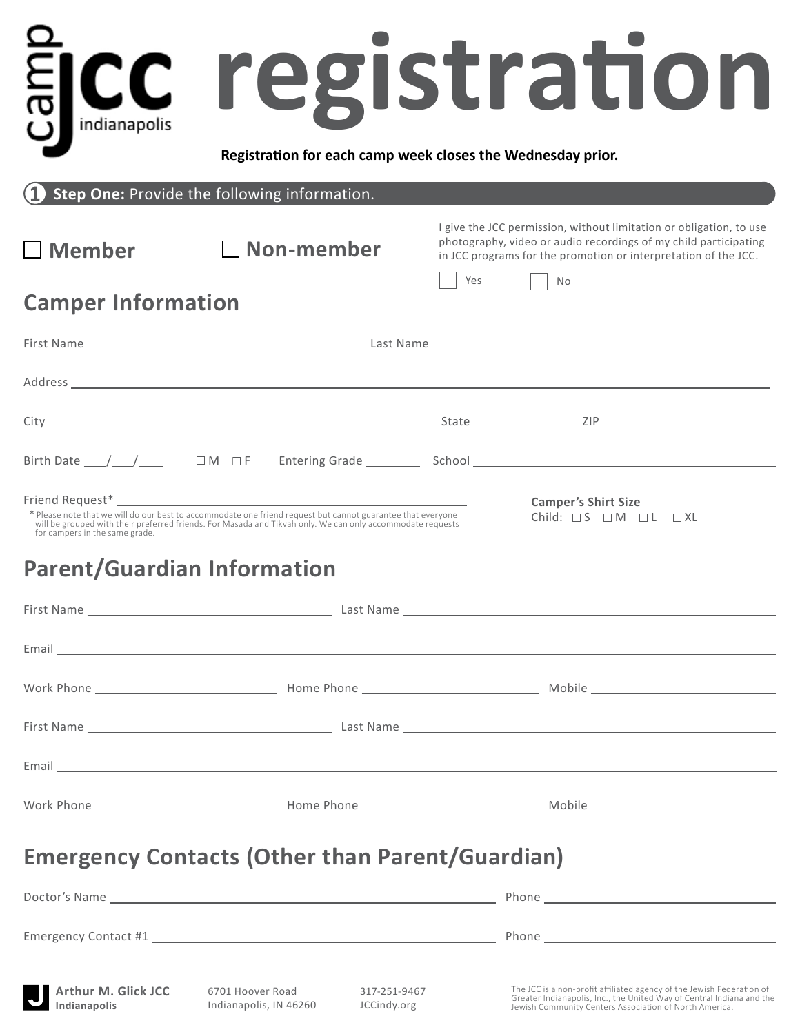|                                     |                                                                                                                                                                                                                           | registration                                                                                                                                                                                                                         |
|-------------------------------------|---------------------------------------------------------------------------------------------------------------------------------------------------------------------------------------------------------------------------|--------------------------------------------------------------------------------------------------------------------------------------------------------------------------------------------------------------------------------------|
| indianapolis                        |                                                                                                                                                                                                                           | Registration for each camp week closes the Wednesday prior.                                                                                                                                                                          |
|                                     | Step One: Provide the following information.                                                                                                                                                                              |                                                                                                                                                                                                                                      |
| $\square$ Member                    | $\Box$ Non-member                                                                                                                                                                                                         | I give the JCC permission, without limitation or obligation, to use<br>photography, video or audio recordings of my child participating<br>in JCC programs for the promotion or interpretation of the JCC.                           |
| <b>Camper Information</b>           |                                                                                                                                                                                                                           | Yes<br>No                                                                                                                                                                                                                            |
|                                     |                                                                                                                                                                                                                           |                                                                                                                                                                                                                                      |
|                                     |                                                                                                                                                                                                                           |                                                                                                                                                                                                                                      |
|                                     |                                                                                                                                                                                                                           |                                                                                                                                                                                                                                      |
|                                     |                                                                                                                                                                                                                           | Birth Date $\frac{1}{\sqrt{1-\frac{1}{n}}}$ $\Box M$ $\Box F$ Entering Grade $\Box$ School $\Box$ School $\Box$                                                                                                                      |
| for campers in the same grade.      | * Please note that we will do our best to accommodate one friend request but cannot guarantee that everyone<br>will be grouped with their preferred friends. For Masada and Tikvah only. We can only accommodate requests | <b>Camper's Shirt Size</b><br>Child: $\Box$ S $\Box$ M $\Box$ L $\Box$ XL                                                                                                                                                            |
| <b>Parent/Guardian Information</b>  |                                                                                                                                                                                                                           |                                                                                                                                                                                                                                      |
|                                     |                                                                                                                                                                                                                           |                                                                                                                                                                                                                                      |
|                                     |                                                                                                                                                                                                                           | Email <b>Executive Contract Contract Contract Contract Contract Contract Contract Contract Contract Contract Contract Contract Contract Contract Contract Contract Contract Contract Contract Contract Contract Contract Contrac</b> |
|                                     |                                                                                                                                                                                                                           |                                                                                                                                                                                                                                      |
|                                     |                                                                                                                                                                                                                           |                                                                                                                                                                                                                                      |
|                                     |                                                                                                                                                                                                                           |                                                                                                                                                                                                                                      |
|                                     |                                                                                                                                                                                                                           |                                                                                                                                                                                                                                      |
|                                     | <b>Emergency Contacts (Other than Parent/Guardian)</b>                                                                                                                                                                    |                                                                                                                                                                                                                                      |
|                                     |                                                                                                                                                                                                                           |                                                                                                                                                                                                                                      |
|                                     |                                                                                                                                                                                                                           |                                                                                                                                                                                                                                      |
| Arthur M. Glick JCC<br>Indianapolis | 6701 Hoover Road<br>317-251-9467<br>Indianapolis, IN 46260<br>JCCindy.org                                                                                                                                                 | The JCC is a non-profit affiliated agency of the Jewish Federation of<br>Greater Indianapolis, Inc., the United Way of Central Indiana and the<br>Jewish Community Centers Association of North America.                             |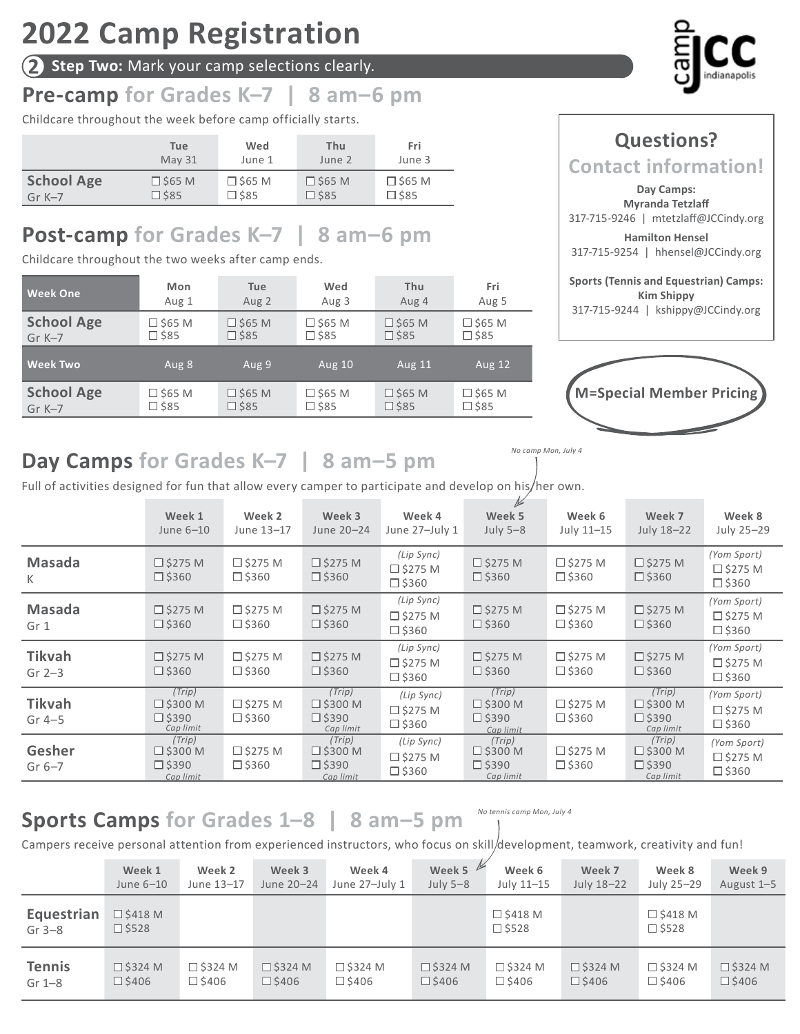# **2022 Camp Registration**

**2 Step Two:** Mark your camp selections clearly.

## **Pre-camp for Grades K–7 | 8 am–6 pm**

Childcare throughout the week before camp officially starts.

|                   | Tue            | Wed            | Thu            | Fri            |
|-------------------|----------------|----------------|----------------|----------------|
|                   | <b>May 31</b>  | June 1         | June 2         | June 3         |
| <b>School Age</b> | $\Box$ \$65 M  | $\Box$ \$65 M  | $\Box$ \$65 M  | $\Box$ \$65 M  |
| Gr $K-7$          | $\square$ \$85 | $\square$ \$85 | $\square$ \$85 | $\square$ \$85 |

## **Post-camp for Grades K–7 | 8 am–6 pm**

Childcare throughout the two weeks after camp ends.

| <b>Week One</b>   | Mon            | Tue           | Wed              | Thu              | Fri            |
|-------------------|----------------|---------------|------------------|------------------|----------------|
|                   | Aug 1          | Aug 2         | Aug 3            | Aug 4            | Aug 5          |
| <b>School Age</b> | □ \$65 M       | $\Box$ \$65 M | $\Box$ \$65 M    | $\Box$ \$65 M    | $\Box$ \$65 M  |
| $Gr K-7$          | $\square$ \$85 | $\Box$ \$85   | $\square$ \$85   | $\square$ \$85   | $\square$ \$85 |
| <b>Week Two</b>   | Aug 8          | Aug 9         | <b>Aug 10</b>    | <b>Aug 11</b>    | <b>Aug 12</b>  |
| <b>School Age</b> | □ \$65 M       | $\Box$ \$65 M | $\square$ \$65 M | $\square$ \$65 M | $\Box$ \$65 M  |
|                   | □ \$85         | $\Box$ \$85   | $\square$ \$85   | $\square$ \$85   | $\square$ \$85 |



## **Questions? Contact information! Day Camps: Myranda Tetzlaff** 317-715-9246 | mtetzlaff@JCCindy.org **Hamilton Hensel** 317-715-9254 | hhensel@JCCindy.org **Sports (Tennis and Equestrian) Camps: Kim Shippy**

317-715-9244 | kshippy@JCCindy.org



*No camp Mon, July 4*

## **Day Camps for Grades K–7 | 8 am–5 pm**

Full of activities designed for fun that allow every camper to participate and develop on his/her own.

|                           | Week 1<br>June 6-10                                         | Week 2<br>June 13-17                 | Week 3<br>June 20-24                                        | Week 4<br>June 27-July 1                           | $\frac{1}{2}$<br>Week 5<br>July $5-8$                       | Week 6<br>July 11-15              | Week 7<br>July 18-22                                        | Week 8<br>July 25-29                             |
|---------------------------|-------------------------------------------------------------|--------------------------------------|-------------------------------------------------------------|----------------------------------------------------|-------------------------------------------------------------|-----------------------------------|-------------------------------------------------------------|--------------------------------------------------|
| <b>Masada</b><br>K        | $\square$ \$275 M<br>$\square$ \$360                        | $\square$ \$275 M<br>$\square$ \$360 | $\square$ \$275 M<br>$\square$ \$360                        | (Lip Sync)<br>$\square$ \$275 M<br>$\square$ \$360 | $\square$ \$275 M<br>$\square$ \$360                        | $\Box$ \$275 M<br>$\square$ \$360 | $\square$ \$275 M<br>$\square$ \$360                        | (Yom Sport)<br>$\Box$ \$275 M<br>$\square$ \$360 |
| <b>Masada</b><br>Gr 1     | $\square$ \$275 M<br>$\square$ \$360                        | $\square$ \$275 M<br>$\square$ \$360 | $\square$ \$275 M<br>$\square$ \$360                        | (Lip Sync)<br>$\square$ \$275 M<br>$\square$ \$360 | $\square$ \$275 M<br>$\square$ \$360                        | $\Box$ \$275 M<br>$\square$ \$360 | $\square$ \$275 M<br>$\square$ \$360                        | (Yom Sport)<br>$\Box$ \$275 M<br>$\square$ \$360 |
| <b>Tikvah</b><br>Gr $2-3$ | $\square$ \$275 M<br>$\square$ \$360                        | $\square$ \$275 M<br>$\square$ \$360 | $\square$ \$275 M<br>$\square$ \$360                        | (Lip Sync)<br>$\square$ \$275 M<br>$\square$ \$360 | $\square$ \$275 M<br>$\square$ \$360                        | $\Box$ \$275 M<br>$\square$ \$360 | $\square$ \$275 M<br>$\square$ \$360                        | (Yom Sport)<br>$\Box$ \$275 M<br>$\square$ \$360 |
| <b>Tikvah</b><br>Gr $4-5$ | (Trip)<br>$\square$ \$300 M<br>$\square$ \$390<br>Cap limit | $\square$ \$275 M<br>$\square$ \$360 | (Trip)<br>$\square$ \$300 M<br>$\square$ \$390<br>Cap limit | (Lip Sync)<br>$\square$ \$275 M<br>$\square$ \$360 | (Trip)<br>$\square$ \$300 M<br>$\square$ \$390<br>Cap limit | $\Box$ \$275 M<br>$\square$ \$360 | (Trip)<br>$\square$ \$300 M<br>$\square$ \$390<br>Cap limit | (Yom Sport)<br>$\Box$ \$275 M<br>$\square$ \$360 |
| Gesher<br>Gr $6-7$        | (Trip)<br>$\square$ \$300 M<br>$\square$ \$390<br>Cap limit | $\square$ \$275 M<br>$\square$ \$360 | (Trip)<br>$\square$ \$300 M<br>$\Box$ \$390<br>Cap limit    | (Lip Sync)<br>$\square$ \$275 M<br>$\square$ \$360 | (Trip)<br>$\square$ \$300 M<br>$\square$ \$390<br>Cap limit | $\Box$ \$275 M<br>$\square$ \$360 | (Trip)<br>$\square$ \$300 M<br>$\square$ \$390<br>Cap limit | (Yom Sport)<br>$\Box$ \$275 M<br>$\square$ \$360 |

#### **Sports Camps for Grades 1–8 | 8 am–5 pm** *No tennis camp Mon, July 4*

Campers receive personal attention from experienced instructors, who focus on skill/development, teamwork, creativity and fun!

|                        | Week 1                               | Week 2         | Week 3          | Week 4          | Week 5            | Week 6                            | Week 7            | Week 8                            | Week 9          |
|------------------------|--------------------------------------|----------------|-----------------|-----------------|-------------------|-----------------------------------|-------------------|-----------------------------------|-----------------|
|                        | June 6-10                            | June 13-17     | June 20-24      | June 27-July 1  | July $5-8$        | July 11-15                        | July 18-22        | July 25-29                        | August 1-5      |
| Equestrian<br>Gr $3-8$ | $\square$ \$418 M<br>$\square$ \$528 |                |                 |                 |                   | $\Box$ \$418 M<br>$\square$ \$528 |                   | $\Box$ \$418 M<br>$\square$ \$528 |                 |
| <b>Tennis</b>          | $\square$ \$324 M                    | $\Box$ \$324 M | $\Box$ \$324 M  | $\Box$ \$324 M  | $\square$ \$324 M | $\square$ \$324 M                 | $\square$ \$324 M | $\Box$ \$324 M                    | $\Box$ \$324 M  |
| Gr $1-8$               | $\Box$ \$406                         | □ \$406        | $\square$ \$406 | $\square$ \$406 | $\square$ \$406   | □ \$406                           | $\square$ \$406   | $\square$ \$406                   | $\square$ \$406 |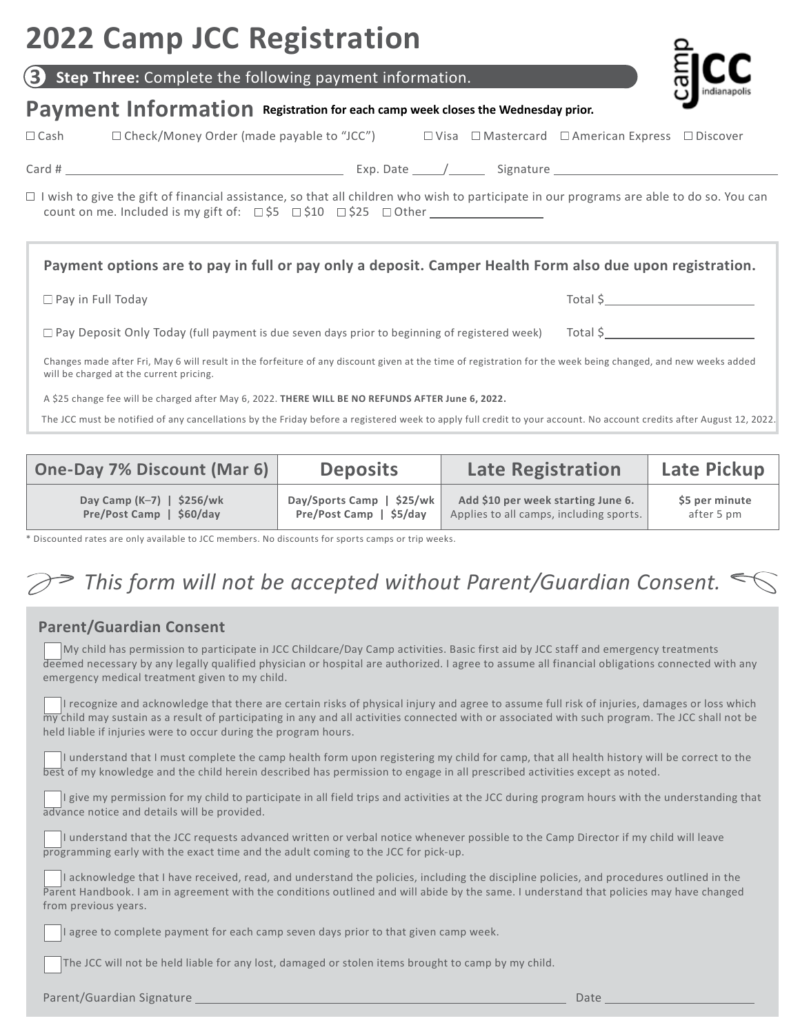# **2022 Camp JCC Registration**

**Step Three:** Complete the following payment information.

## Payment Information Registration for each camp week closes the Wednesday prior.

Cash Check/Money Order (made payable to "JCC") Visa Mastercard American Express Discover

Card # Exp. Date / Signature

 $\Box$  I wish to give the gift of financial assistance, so that all children who wish to participate in our programs are able to do so. You can count on me. Included is my gift of:  $\Box$  \$5  $\Box$  \$10  $\Box$  \$25  $\Box$  Other

#### **Payment options are to pay in full or pay only a deposit. Camper Health Form also due upon registration.**

| □ Pay in Full Today |  |  |  |  |  |
|---------------------|--|--|--|--|--|
|---------------------|--|--|--|--|--|

| $\Box$ Pay Deposit Only Today (full payment is due seven days prior to beginning of registered week) | Total \$ |
|------------------------------------------------------------------------------------------------------|----------|
|------------------------------------------------------------------------------------------------------|----------|

Changes made after Fri, May 6 will result in the forfeiture of any discount given at the time of registration for the week being changed, and new weeks added will be charged at the current pricing.

A \$25 change fee will be charged after May 6, 2022. **THERE WILL BE NO REFUNDS AFTER June 6, 2022.**

The JCC must be notified of any cancellations by the Friday before a registered week to apply full credit to your account. No account credits after August 12, 2022.

| One-Day 7% Discount (Mar 6) | <b>Deposits</b>           | <b>Late Registration</b>                | <b>Late Pickup</b> |
|-----------------------------|---------------------------|-----------------------------------------|--------------------|
| Day Camp $(K-7)$   \$256/wk | Day/Sports Camp   \$25/wk | Add \$10 per week starting June 6.      | \$5 per minute     |
| Pre/Post Camp   \$60/day    | Pre/Post Camp   \$5/day   | Applies to all camps, including sports. | after 5 pm         |

\* Discounted rates are only available to JCC members. No discounts for sports camps or trip weeks.

## *This form will not be accepted without Parent/Guardian Consent.*

### **Parent/Guardian Consent**

 My child has permission to participate in JCC Childcare/Day Camp activities. Basic first aid by JCC staff and emergency treatments deemed necessary by any legally qualified physician or hospital are authorized. I agree to assume all financial obligations connected with any emergency medical treatment given to my child.

 I recognize and acknowledge that there are certain risks of physical injury and agree to assume full risk of injuries, damages or loss which my child may sustain as a result of participating in any and all activities connected with or associated with such program. The JCC shall not be held liable if injuries were to occur during the program hours.

 I understand that I must complete the camp health form upon registering my child for camp, that all health history will be correct to the best of my knowledge and the child herein described has permission to engage in all prescribed activities except as noted.

I give my permission for my child to participate in all field trips and activities at the JCC during program hours with the understanding that advance notice and details will be provided.

 I understand that the JCC requests advanced written or verbal notice whenever possible to the Camp Director if my child will leave programming early with the exact time and the adult coming to the JCC for pick-up.

 I acknowledge that I have received, read, and understand the policies, including the discipline policies, and procedures outlined in the Parent Handbook. I am in agreement with the conditions outlined and will abide by the same. I understand that policies may have changed from previous years.

I agree to complete payment for each camp seven days prior to that given camp week.

The JCC will not be held liable for any lost, damaged or stolen items brought to camp by my child.

Parent/Guardian Signature Date



 $Total S$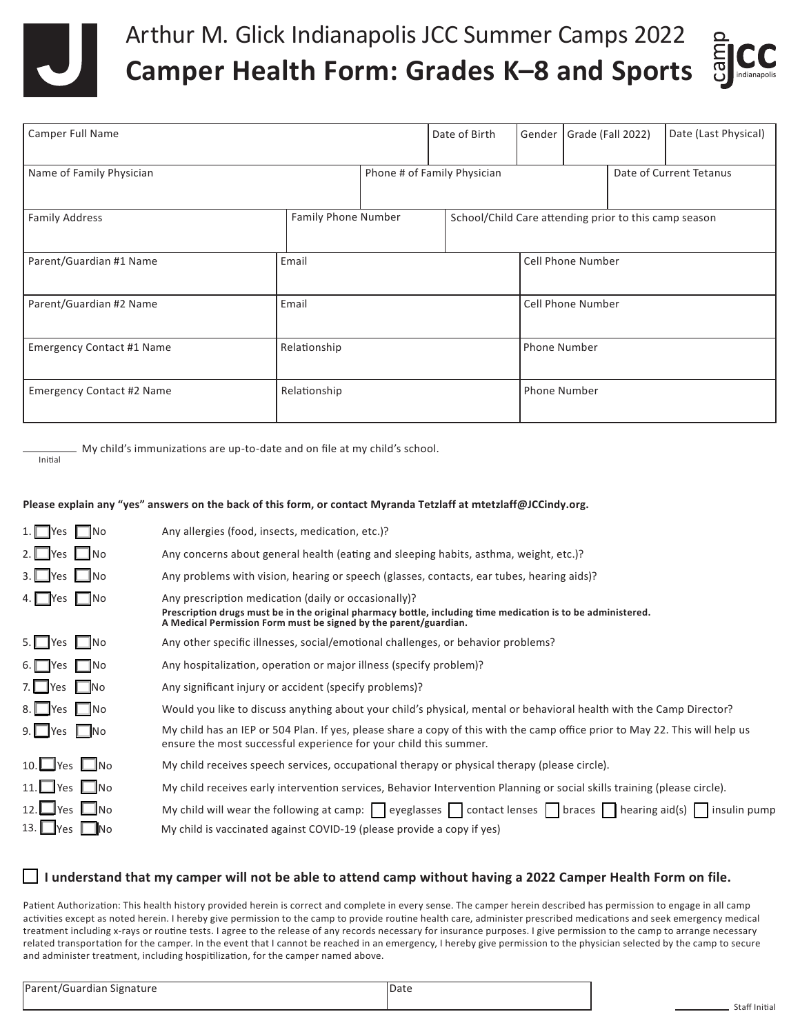

## Arthur M. Glick Indianapolis JCC Summer Camps 2022 **Camper Health Form: Grades K–8 and Sports**



| <b>Camper Full Name</b>          |                     | Date of Birth                                          | Gender |                     | Grade (Fall 2022)        | Date (Last Physical)                                  |  |
|----------------------------------|---------------------|--------------------------------------------------------|--------|---------------------|--------------------------|-------------------------------------------------------|--|
| Name of Family Physician         |                     | Date of Current Tetanus<br>Phone # of Family Physician |        |                     |                          |                                                       |  |
| <b>Family Address</b>            | Family Phone Number |                                                        |        |                     |                          | School/Child Care attending prior to this camp season |  |
| Parent/Guardian #1 Name          | Email               |                                                        |        |                     | <b>Cell Phone Number</b> |                                                       |  |
| Parent/Guardian #2 Name          | Email               |                                                        |        |                     | <b>Cell Phone Number</b> |                                                       |  |
| <b>Emergency Contact #1 Name</b> | Relationship        |                                                        |        | <b>Phone Number</b> |                          |                                                       |  |
| <b>Emergency Contact #2 Name</b> | Relationship        |                                                        |        |                     | Phone Number             |                                                       |  |

My child's immunizations are up-to-date and on file at my child's school.

Initial

#### **Please explain any "yes" answers on the back of this form, or contact Myranda Tetzlaff at mtetzlaff@JCCindy.org.**

| $1.$ Yes $\blacksquare$ No               | Any allergies (food, insects, medication, etc.)?                                                                                                                                                                                         |
|------------------------------------------|------------------------------------------------------------------------------------------------------------------------------------------------------------------------------------------------------------------------------------------|
| $2.$ Yes $\Box$ No                       | Any concerns about general health (eating and sleeping habits, asthma, weight, etc.)?                                                                                                                                                    |
| $3.$ Pes $\Box$ No                       | Any problems with vision, hearing or speech (glasses, contacts, ear tubes, hearing aids)?                                                                                                                                                |
| 4. Pes No                                | Any prescription medication (daily or occasionally)?<br>Prescription drugs must be in the original pharmacy bottle, including time medication is to be administered.<br>A Medical Permission Form must be signed by the parent/guardian. |
| 5. Yes Mo                                | Any other specific illnesses, social/emotional challenges, or behavior problems?                                                                                                                                                         |
| 6. $\Box$ Yes $\Box$ No                  | Any hospitalization, operation or major illness (specify problem)?                                                                                                                                                                       |
| 7. $Yes$ No                              | Any significant injury or accident (specify problems)?                                                                                                                                                                                   |
| 8. Pes Ino                               | Would you like to discuss anything about your child's physical, mental or behavioral health with the Camp Director?                                                                                                                      |
| $9.$ Yes $\Box$ No                       | My child has an IEP or 504 Plan. If yes, please share a copy of this with the camp office prior to May 22. This will help us<br>ensure the most successful experience for your child this summer.                                        |
| 10. $\Box$ Yes $\Box$ No                 | My child receives speech services, occupational therapy or physical therapy (please circle).                                                                                                                                             |
| 11. $\blacksquare$ Yes $\blacksquare$ No | My child receives early intervention services, Behavior Intervention Planning or social skills training (please circle).                                                                                                                 |
| 12. $\blacksquare$ Yes $\blacksquare$ No | My child will wear the following at camp: eyeglasses contact lenses braces hearing aid(s) insulin pump                                                                                                                                   |
| 13. $Yes$ No                             | My child is vaccinated against COVID-19 (please provide a copy if yes)                                                                                                                                                                   |

#### **I understand that my camper will not be able to attend camp without having a 2022 Camper Health Form on file.**

Patient Authorization: This health history provided herein is correct and complete in every sense. The camper herein described has permission to engage in all camp activities except as noted herein. I hereby give permission to the camp to provide routine health care, administer prescribed medications and seek emergency medical treatment including x-rays or routine tests. I agree to the release of any records necessary for insurance purposes. I give permission to the camp to arrange necessary related transportation for the camper. In the event that I cannot be reached in an emergency, I hereby give permission to the physician selected by the camp to secure and administer treatment, including hospitilization, for the camper named above.

| Parent/Guardian Signature | Date |
|---------------------------|------|
|                           |      |